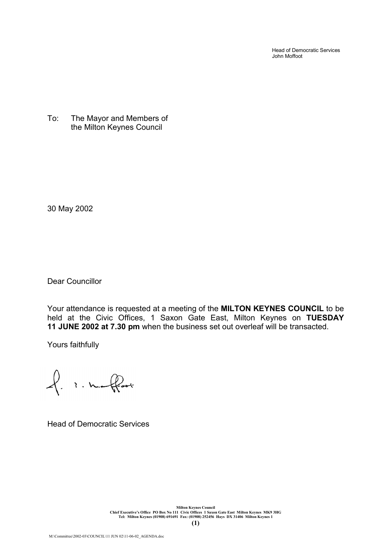Head of Democratic Services John Moffoot

To: The Mayor and Members of the Milton Keynes Council

30 May 2002

Dear Councillor

Your attendance is requested at a meeting of the **MILTON KEYNES COUNCIL** to be held at the Civic Offices, 1 Saxon Gate East, Milton Keynes on **TUESDAY 11 JUNE 2002 at 7.30 pm** when the business set out overleaf will be transacted.

Yours faithfully

of inflat

Head of Democratic Services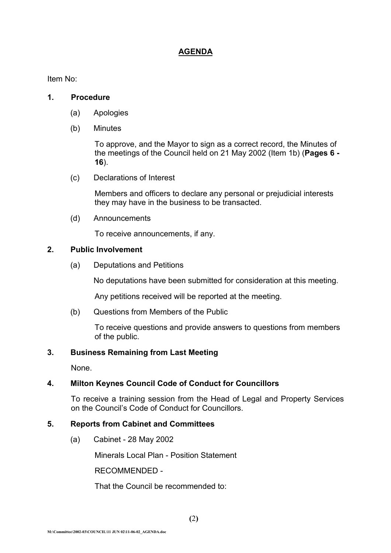# **AGENDA**

Item No:

#### **1. Procedure**

- (a) Apologies
- (b) Minutes

To approve, and the Mayor to sign as a correct record, the Minutes of the meetings of the Council held on 21 May 2002 (Item 1b) (**Pages 6 - 16**).

(c) Declarations of Interest

Members and officers to declare any personal or prejudicial interests they may have in the business to be transacted.

(d) Announcements

To receive announcements, if any.

## **2. Public Involvement**

(a) Deputations and Petitions

No deputations have been submitted for consideration at this meeting.

Any petitions received will be reported at the meeting.

(b) Questions from Members of the Public

To receive questions and provide answers to questions from members of the public.

## **3. Business Remaining from Last Meeting**

None.

## **4. Milton Keynes Council Code of Conduct for Councillors**

To receive a training session from the Head of Legal and Property Services on the Council's Code of Conduct for Councillors.

# **5. Reports from Cabinet and Committees**

(a) Cabinet - 28 May 2002

Minerals Local Plan - Position Statement

RECOMMENDED -

That the Council be recommended to: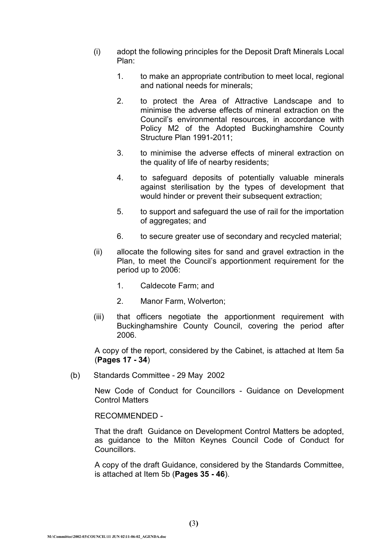- (i) adopt the following principles for the Deposit Draft Minerals Local Plan:
	- 1. to make an appropriate contribution to meet local, regional and national needs for minerals;
	- 2. to protect the Area of Attractive Landscape and to minimise the adverse effects of mineral extraction on the Council's environmental resources, in accordance with Policy M2 of the Adopted Buckinghamshire County Structure Plan 1991-2011;
	- 3. to minimise the adverse effects of mineral extraction on the quality of life of nearby residents;
	- 4. to safeguard deposits of potentially valuable minerals against sterilisation by the types of development that would hinder or prevent their subsequent extraction;
	- 5. to support and safeguard the use of rail for the importation of aggregates; and
	- 6. to secure greater use of secondary and recycled material;
- (ii) allocate the following sites for sand and gravel extraction in the Plan, to meet the Council's apportionment requirement for the period up to 2006:
	- 1. Caldecote Farm; and
	- 2. Manor Farm, Wolverton;
- (iii) that officers negotiate the apportionment requirement with Buckinghamshire County Council, covering the period after 2006.

A copy of the report, considered by the Cabinet, is attached at Item 5a (**Pages 17 - 34**)

(b) Standards Committee - 29 May 2002

New Code of Conduct for Councillors - Guidance on Development Control Matters

RECOMMENDED -

That the draft Guidance on Development Control Matters be adopted, as guidance to the Milton Keynes Council Code of Conduct for Councillors.

A copy of the draft Guidance, considered by the Standards Committee, is attached at Item 5b (**Pages 35 - 46**).